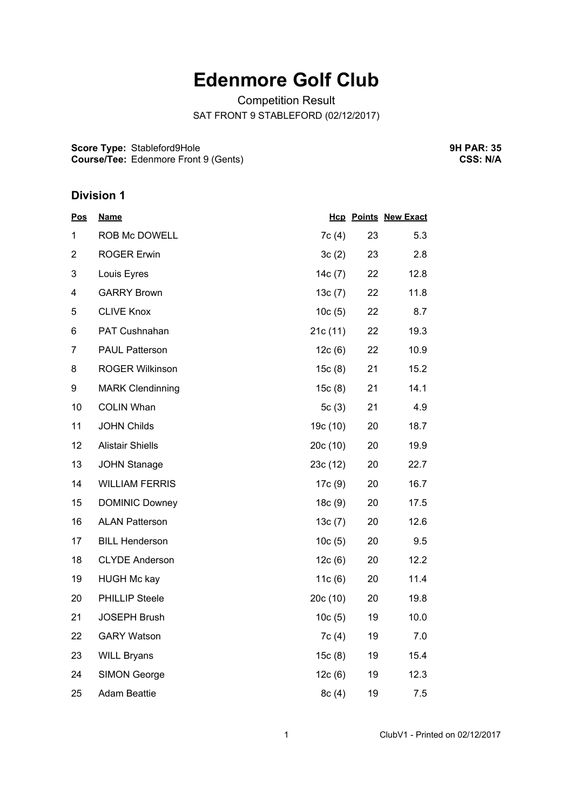## **Edenmore Golf Club**

Competition Result SAT FRONT 9 STABLEFORD (02/12/2017)

**Score Type:** Stableford9Hole **Course/Tee:** Edenmore Front 9 (Gents) **9H PAR: 35 CSS: N/A**

## **Division 1**

| <u>Pos</u>     | <b>Name</b>             |          |    | <b>Hcp Points New Exact</b> |
|----------------|-------------------------|----------|----|-----------------------------|
| 1              | ROB Mc DOWELL           | 7c(4)    | 23 | 5.3                         |
| $\overline{2}$ | <b>ROGER Erwin</b>      | 3c(2)    | 23 | 2.8                         |
| 3              | Louis Eyres             | 14c(7)   | 22 | 12.8                        |
| 4              | <b>GARRY Brown</b>      | 13c(7)   | 22 | 11.8                        |
| 5              | <b>CLIVE Knox</b>       | 10c(5)   | 22 | 8.7                         |
| 6              | PAT Cushnahan           | 21c(11)  | 22 | 19.3                        |
| 7              | <b>PAUL Patterson</b>   | 12c(6)   | 22 | 10.9                        |
| 8              | <b>ROGER Wilkinson</b>  | 15c(8)   | 21 | 15.2                        |
| 9              | <b>MARK Clendinning</b> | 15c(8)   | 21 | 14.1                        |
| 10             | <b>COLIN Whan</b>       | 5c(3)    | 21 | 4.9                         |
| 11             | <b>JOHN Childs</b>      | 19c (10) | 20 | 18.7                        |
| 12             | <b>Alistair Shiells</b> | 20c(10)  | 20 | 19.9                        |
| 13             | <b>JOHN Stanage</b>     | 23c(12)  | 20 | 22.7                        |
| 14             | <b>WILLIAM FERRIS</b>   | 17c(9)   | 20 | 16.7                        |
| 15             | <b>DOMINIC Downey</b>   | 18c(9)   | 20 | 17.5                        |
| 16             | <b>ALAN Patterson</b>   | 13c(7)   | 20 | 12.6                        |
| 17             | <b>BILL Henderson</b>   | 10c(5)   | 20 | 9.5                         |
| 18             | <b>CLYDE Anderson</b>   | 12c(6)   | 20 | 12.2                        |
| 19             | <b>HUGH Mc kay</b>      | 11c(6)   | 20 | 11.4                        |
| 20             | <b>PHILLIP Steele</b>   | 20c(10)  | 20 | 19.8                        |
| 21             | <b>JOSEPH Brush</b>     | 10c(5)   | 19 | 10.0                        |
| 22             | <b>GARY Watson</b>      | 7c (4)   | 19 | 7.0                         |
| 23             | <b>WILL Bryans</b>      | 15c(8)   | 19 | 15.4                        |
| 24             | <b>SIMON George</b>     | 12c(6)   | 19 | 12.3                        |
| 25             | <b>Adam Beattie</b>     | 8c(4)    | 19 | 7.5                         |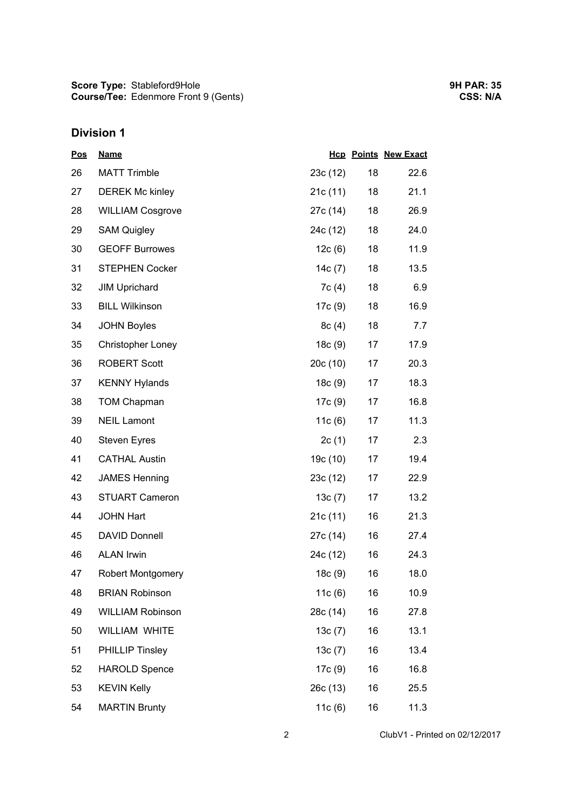## **Division 1**

| <u>Pos</u> | <b>Name</b>              |           |    | <b>Hcp Points New Exact</b> |
|------------|--------------------------|-----------|----|-----------------------------|
| 26         | <b>MATT Trimble</b>      | 23c(12)   | 18 | 22.6                        |
| 27         | <b>DEREK Mc kinley</b>   | 21c(11)   | 18 | 21.1                        |
| 28         | <b>WILLIAM Cosgrove</b>  | 27c (14)  | 18 | 26.9                        |
| 29         | <b>SAM Quigley</b>       | 24c (12)  | 18 | 24.0                        |
| 30         | <b>GEOFF Burrowes</b>    | 12c(6)    | 18 | 11.9                        |
| 31         | <b>STEPHEN Cocker</b>    | 14 $c(7)$ | 18 | 13.5                        |
| 32         | <b>JIM Uprichard</b>     | 7c(4)     | 18 | 6.9                         |
| 33         | <b>BILL Wilkinson</b>    | 17c (9)   | 18 | 16.9                        |
| 34         | <b>JOHN Boyles</b>       | 8c(4)     | 18 | 7.7                         |
| 35         | <b>Christopher Loney</b> | 18c(9)    | 17 | 17.9                        |
| 36         | <b>ROBERT Scott</b>      | 20c(10)   | 17 | 20.3                        |
| 37         | <b>KENNY Hylands</b>     | 18c(9)    | 17 | 18.3                        |
| 38         | <b>TOM Chapman</b>       | 17c (9)   | 17 | 16.8                        |
| 39         | <b>NEIL Lamont</b>       | 11c(6)    | 17 | 11.3                        |
| 40         | <b>Steven Eyres</b>      | 2c(1)     | 17 | 2.3                         |
| 41         | <b>CATHAL Austin</b>     | 19c (10)  | 17 | 19.4                        |
| 42         | <b>JAMES Henning</b>     | 23c(12)   | 17 | 22.9                        |
| 43         | <b>STUART Cameron</b>    | 13c(7)    | 17 | 13.2                        |
| 44         | <b>JOHN Hart</b>         | 21c(11)   | 16 | 21.3                        |
| 45         | <b>DAVID Donnell</b>     | 27c (14)  | 16 | 27.4                        |
| 46         | <b>ALAN Irwin</b>        | 24c (12)  | 16 | 24.3                        |
| 47         | <b>Robert Montgomery</b> | 18c (9)   | 16 | 18.0                        |
| 48         | <b>BRIAN Robinson</b>    | 11c(6)    | 16 | 10.9                        |
| 49         | <b>WILLIAM Robinson</b>  | 28c (14)  | 16 | 27.8                        |
| 50         | <b>WILLIAM WHITE</b>     | 13c(7)    | 16 | 13.1                        |
| 51         | PHILLIP Tinsley          | 13c(7)    | 16 | 13.4                        |
| 52         | <b>HAROLD Spence</b>     | 17c(9)    | 16 | 16.8                        |
| 53         | <b>KEVIN Kelly</b>       | 26c (13)  | 16 | 25.5                        |
| 54         | <b>MARTIN Brunty</b>     | 11c(6)    | 16 | 11.3                        |